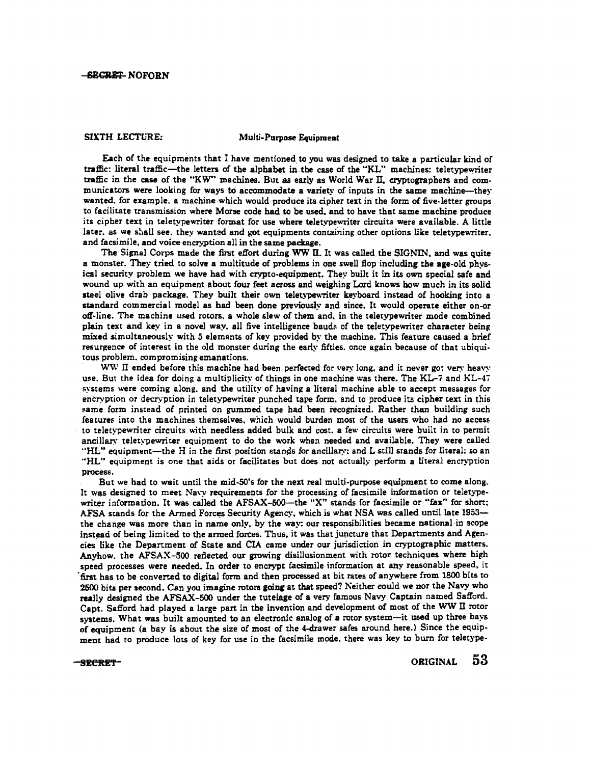#### SEGKET NOFORN

## SIXTH LECTURE: Multi-Purpose Equipment

Each of the equipments that I have mentioned to you was designed to take a particular kind of traffic: literal traffic-the letters of the alphabet in the case of the "KL" machines: teletypewriter traffic in the case of the "KW" machines. But as early as World War Il, cryptographers and communicators were looking for ways to accommodate a variety of inputs in the same machine-they wanted. for example. a machine which would produce its cipher text in the form of five-letter groups to facilitate transmission where Morse code had to be used. and to have that same machine produce its cipher text in teletypewriter format for use where teletypewriter circuits were available. A little later. as we shall see. they wanted and got equipments containing other options like teletypewriter, and facsimile, and voice encryption all in the same package.

The Signal Corps made the first effort during WW II. It was called the SIGNIN, and was quite a monster. They tried to solve a multitude of problems in one swell flop including the age-old physical security problem we have had with crypto-equipment. They built it in its own special safe and wound up with an equipment about four feet across and weighing Lord knows bow much in its solid steel olive drab package. They built their own teletypewriter keyboard instead of hooking into a standard commercial model as had been done previously and since. It would operate either on-or off-line. The machine used rotors. a whole slew of them and, in the teletypewriter mode combined plain text and key in a novel way, all five intelligence bauds of the teletypewriter character being mixed simultaneously with 5 elements of key provided by the machine. This feature caused a brief resurgence of interest in the old monster during the early fifties. once again because of that ubiquitous problem. compromising emanations.

WW II ended before this machine had been perfected for very long, and it never got very heavy use. But the idea for doing a multiplicity of things in one machine was there. The KL-7 and KL-47 systems were coming along. and the utility of having a literal machine able to accept messages for encryption or decryption in teletypewriter punched tape form. and to produce its cipher text in this same form instead of printed on gummed tape had been recognized. Rather than building such features into the machines themselves, which would burden most of the users who had no access to teletypewriter circuits with needless added bulk and cost. a few circuits were built in to permit ancillary teletypewriter equipment to do the work when needed and available. They were called "HL" equipment-the H in the first position stands for ancillary; and L still stands for literal: so an '"HL". equipment is one that aids or facilitates but does not actually perform a literal encryption process.

But we had to wait until the mid-SO's for the next real multi-purpose equipment to come along. It was designed to meet Navy requirements for the processing of facsimile information or teletypewriter information. It was called the AFSAX-500---the "X" stands for facsimile or "fax" for short: AFSA stands for the Armed Forces Security Agency, which is what NSA was called until late 1953the change was more than in name only, by the way: our responsibilities became national in scope instead of being limited to the armed forces. Thus, it was that juncture that Departments and Agencies like the Depanment of State and CIA came under our jurisdiction in cryptographic matters. Anyhow. the AFSAX-500 reflected our growing disillusionment with rotor techniques where high speed processes were needed. In order to encrypt facsimile information at any reasonable speed, it first has to be converted to digital form and then processed at bit rates of anywhere from 1800 bits to 2500 bits per second. Can you imagine rotors going at that speed? Neither could we nor the Navy who really designed the AFSAX-500 under the tutelage of a very famous Navy Captain named Safford. Capt. Safford had played a large part in the invention and development of most of the WW Il rotor systems. What was built amounted to an electronic analog of a rotor system-it used up three bays of equipment (a bay is about the size of most of the 4-drawer safes around here.) Since the equipment had to produce lots of key for use in the facsimile mode. there was key to burn for teletype-

 $S<sub>E</sub>CRET 53$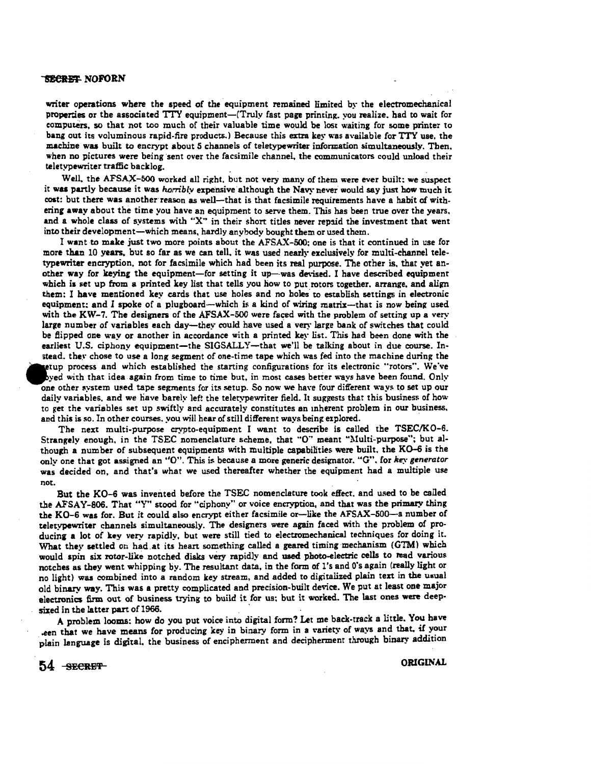# SECRET NOFORN

writer operations where the speed of the equipment remained limited by the electromechanical properties or the associated TTY equipment-(Truly fast page printing, you realize, had to wait for computers, so that not too much of their valuable time would be lost waiting for some printer to bang out its voluminous rapid-fire products.) Because this extra key was available for TTY use, the machine was built to encrypt about 5 channels of teletypewriter information simultaneously. Then. when no pictures were being sent over the facsimile channel, the communicators could unload their teletypewriter traffic backlog.

Well. the AFSAX-500 worked all right. but not very many of them were ever built: we suspect it was panly because it was *horribly* expensive although the Navy never would say just how much it. cost: but there was another reason as well-that is that facsimile requirements have a habit of withering away about the time you have an equipment to serve them. This has been true over the years, and a whole class of systems with "X" in their short titles never repsid the investment that went into their development--which means, hardly anybody bought them or used them.

I want to make just two more points about the AFSAX-500: one is that it continued in use for more than 10 years, but so far as we can tell, it was used nearly exclusively for multi-channel teletypewriter encryption, not for facsimile which had been its real purpose. The other is, that yet another way for keying the equipment-for setting it up-was devised. I have described equipment which is set up from a printed key list that tells you how to put rotors together. arrange, and align them: I have mentioned key cards that use holes and no holes to establish settings in electronic equipment: and I spoke of a plugboard-which is a kind of wiring matrix-that is now being used with the KW-7. The designers of the AFSAX-500 were faced with the problem of setting up a very large number of variables each day-they could have used a very large bank of switches that could be flipped one way or another in accordance with a printed key list. This had been done with the earliest U.S. ciphony equipment-the SIGSALLY-that we'll be talking about in due course. Instead. they chose to use a long segment of one-time tape which was fed into the machine during the etup process and which established the starting configurations for its electronic "rotors". We've yed with that idea again from time to time but, in most cases better ways have been found. Only one other system used tape segments for its setup. So now we have four different ways to set up our daily variables, and we have barely left the teletypewriter field. It suggests that this business of how to get the variables set up swiftly and accurately constitutes an inherent problem in our business, and this is so. In other courses, you will hear of still different ways being explored.

The next multi-purpose crypto-equipment I want to describe is called the TSEC/K0-6. Strangely enough, in the TSEC nomenclature scheme, that "O'' meant "Multi-purpose"': but although a number of subsequent equipments with multiple capabilities were built. the K0-6 is the only one that got assigned an "O". This is because a more generic designator. "G". for key generator was decided on, and that's what we used thereafter whether the equipment had a multiple use not.

But the K0-6 was invented before the TSEC nomenclature took effect. and used to be called the AFSAY-806. That "Y" stood for "ciphony" or voice encryption, and that was the primary thing the K0-6 was for. But it could also encrypt either facsimile or-like the AFSAX-500-a number of teletypewriter channels simultaneously. The designers were again faced with the problem of pro· ducing a lot of key very rapidly, but were still tied to electromechanical techniques for doing it. What they settled on had at its heart something called a geared timing mechanism (GTM) which would spin six rotor-like notched disks very rapidly and used photo-electric cells to read various notches as they went whipping by. The resultant data, in the form of l's and O's again (really light or no light) was combined into a random key stream, and added to digitalized plain text in the usual old binary way. This was a pretty complicated and precision-built device. We put at least one major electronics firm out of business trying to build it for us; but it worked. The last ones were deepsixed in the latter part of 1966.

A problem looms: how do you put voice into digital form? Let me back-track a little. You have .een that we have means for producing key in binary form in a variety of ways and that. if your plain language is digital, the business of encipherment and decipherment through binary addition

54 SECRET-<br>
ORIGINAL

•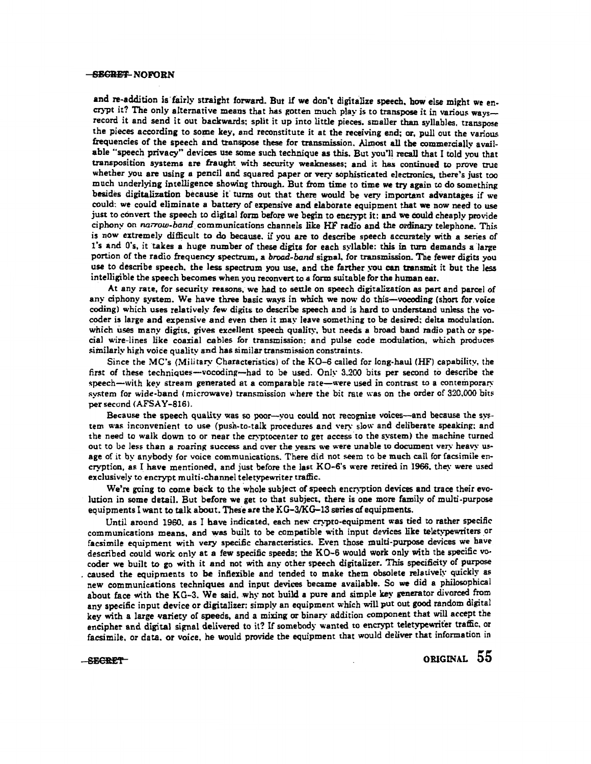### **-SECRET-NOFORN**

and re-addition is fairly straight forward. But if we don't digitalize speech, how else might we encrypt it? The only alternative means that has gotten much play is to transpose it in various waysrecord it and send it out backwards; split it up into little pieces. smaller than syllables, transpose the pieces according to some key, and reconstitute it at the receiving end; or, pull out the various frequencies of the speech and transpose these for transmission. Almost all the commercially available "speech privacy" devices use some such technique as this. But you'll recall that I told you that transposition systems are fraught with security weaknesses; and it has continued to prove true whether you are using a pencil and squared paper or very sophisticated electronics, there's just too much underlying intelligence showing through. But from time to time we try again to do something besides digitalization because if turns out that there would be very important advantages if we could: we could eliminate a battery of expensive and elaborate equipment that we now need to use just to conven the speech to digital form before we begin to encrypt it: and we eould cheaply provide ciphony on *narrow-band* communications channels like HF radio and the ordinazy telephone. This is now extremely difficult to do because. if you are to describe speech accurately with a series of l's and O's, it takes a huge number of these digits for each syllable: this in turn demands a large portion of the radio frequency spectrum. a *broad-band* signal, for transmission. The fewer digits you use to describe speech. the less spectrum you use, and the farther you can transmit it but the less intelligible the speech becomes when you reconvert to a form suitable for the human ear.

At any rate, for security reasons, we had to settle on speech digitalization as part and parcel of any ciphony system. We have three basic ways in which we now do this-vocoding (short for voice coding) which uses relatively few digits to describe speech and is hard to understand unless the vocoder is large and expensive and even then it may leave something to be desired: delta modulation. which uses many digits, gives excellent speech quality, but needs a broad band radio path or special wire-lines like coaxial cables for transmission: and pulse code modulation, which produces similarly high voice quality and has similar transmission constraints.

Since the MC's (Military Characteristics) of the K0-6 called for long-haul (HF) capability, the first of these techniques--vocoding--had to be used. Only 3.200 bits per second to describe the speech-with key stream generated at a comparable rate-were used in contrast to a contemporary system for wide-band (microwave) transmission where the bit rate was on the order of 320,000 bits per second *(AFSAY-816)*.

Because the speech quality was so poor--you could not recognize voices--and because the system was inconvenient to use (push-to-talk procedures and very slow and deliberate speaking: and the need to walk down to or near the cryptocenter to get access to the system) the machine turned out to be less than a roaring success and over the years we were unable to document very heavy usage of it by anybody for voice communications. There did not seem to be much call for facsimile encryption, as I have mentioned, and just before the last KO-6's were retired in 1966. they were used exclusively to encrypt multi-channel teletypewriter traffic.

We're going to come back to the whole subject of speech encryption devices and trace their evolution in some detail. But before we get to that subject. there is one more family of multi-purpose equipments I want to talk about. These are the KG-3/KG-13 series of equipments.

Until around 1960. as I have indicated, each new crypto-equipment was tied to rather specific communications means, and was built to be compatible with input devices like teletypewriters or facsimile equipment with very specific characteristics. Even those multi-purpose devices we have described could work only at a few specific speeds: the K0-6 would work only with tbe specific vocoder we built to go with it and not with any other speech digitalizer. This specificity of purpose caused the equipments to be inflexible and tended to make them obsolete relatively quickly as new communications techniques and input devices became available. So we did a philosophical about face with the KG-3. We said, why not build a pure and simple key generator divorced from any specific input device or digitalizer: simply an equipment which will put out good random digital key with a large Yariety of speeds, and a mixing or binary addition component that will accept the encipher and digital signal delivered to it? If somebody wanted to encrypt teletypewriter traffic, or facsimile, or data, or voice, he would provide the equipment that would deliver that information in

-SECRET-

ORIGINAL 55